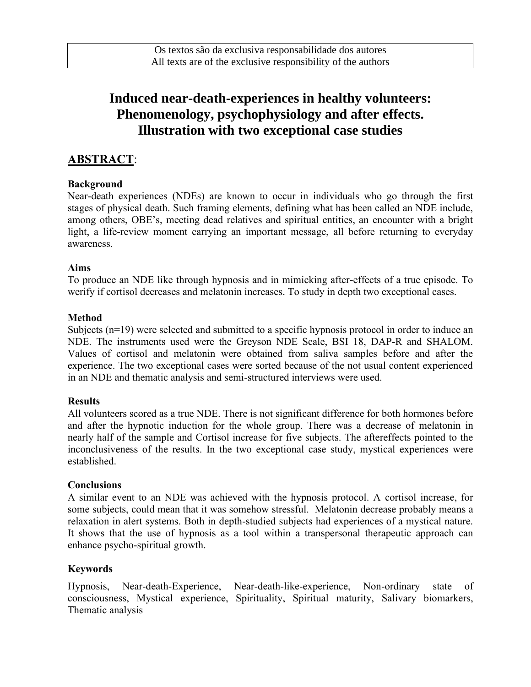# **Induced near-death-experiences in healthy volunteers: Phenomenology, psychophysiology and after effects. Illustration with two exceptional case studies**

### **ABSTRACT**:

#### **Background**

Near-death experiences (NDEs) are known to occur in individuals who go through the first stages of physical death. Such framing elements, defining what has been called an NDE include, among others, OBE's, meeting dead relatives and spiritual entities, an encounter with a bright light, a life-review moment carrying an important message, all before returning to everyday awareness.

#### **Aims**

To produce an NDE like through hypnosis and in mimicking after-effects of a true episode. To werify if cortisol decreases and melatonin increases. To study in depth two exceptional cases.

#### **Method**

Subjects (n=19) were selected and submitted to a specific hypnosis protocol in order to induce an NDE. The instruments used were the Greyson NDE Scale, BSI 18, DAP-R and SHALOM. Values of cortisol and melatonin were obtained from saliva samples before and after the experience. The two exceptional cases were sorted because of the not usual content experienced in an NDE and thematic analysis and semi-structured interviews were used.

#### **Results**

All volunteers scored as a true NDE. There is not significant difference for both hormones before and after the hypnotic induction for the whole group. There was a decrease of melatonin in nearly half of the sample and Cortisol increase for five subjects. The aftereffects pointed to the inconclusiveness of the results. In the two exceptional case study, mystical experiences were established.

#### **Conclusions**

A similar event to an NDE was achieved with the hypnosis protocol. A cortisol increase, for some subjects, could mean that it was somehow stressful. Melatonin decrease probably means a relaxation in alert systems. Both in depth-studied subjects had experiences of a mystical nature. It shows that the use of hypnosis as a tool within a transpersonal therapeutic approach can enhance psycho-spiritual growth.

#### **Keywords**

Hypnosis, Near-death-Experience, Near-death-like-experience, Non-ordinary state of consciousness, Mystical experience, Spirituality, Spiritual maturity, Salivary biomarkers, Thematic analysis